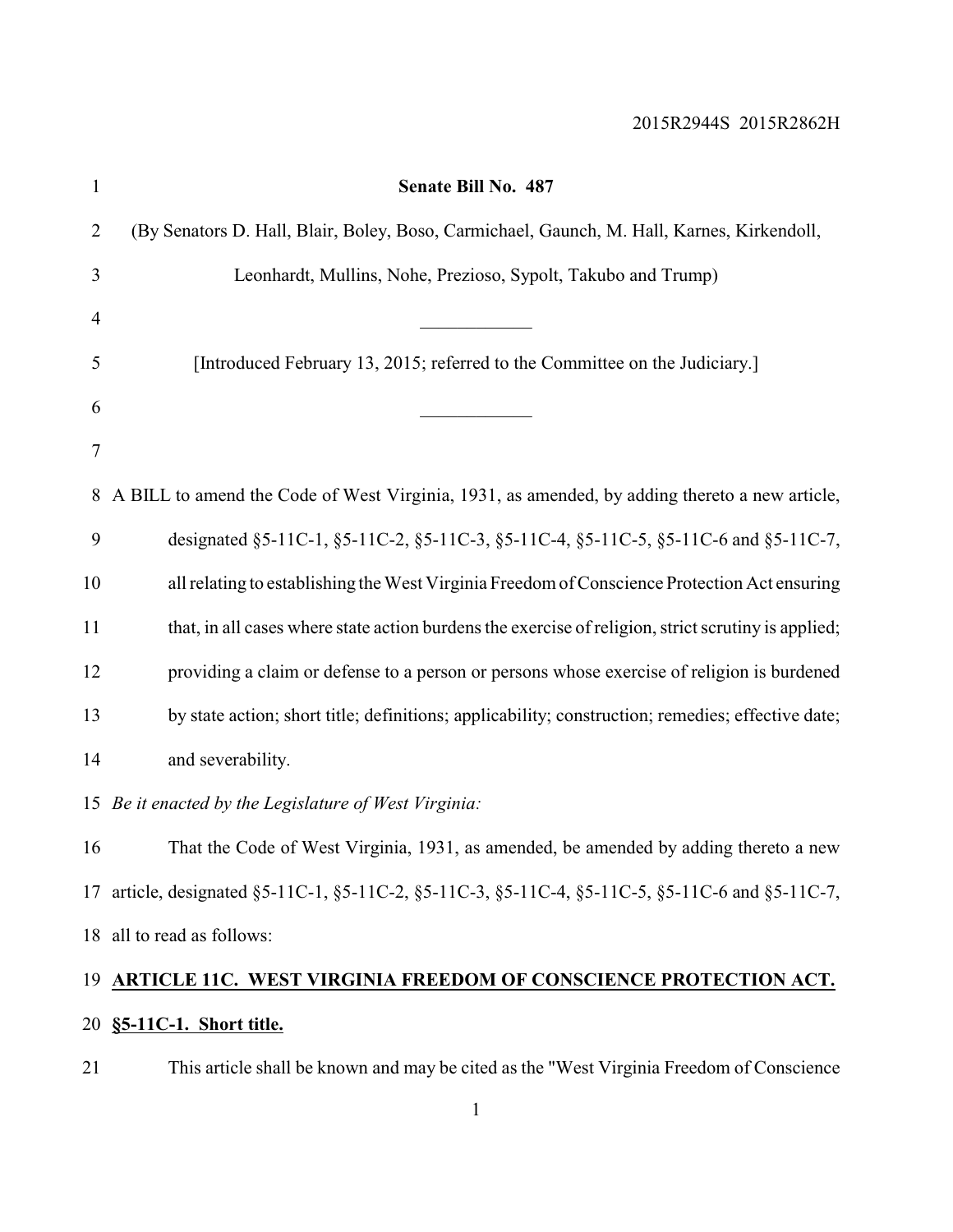| 1              | Senate Bill No. 487                                                                                 |
|----------------|-----------------------------------------------------------------------------------------------------|
| $\overline{2}$ | (By Senators D. Hall, Blair, Boley, Boso, Carmichael, Gaunch, M. Hall, Karnes, Kirkendoll,          |
| 3              | Leonhardt, Mullins, Nohe, Prezioso, Sypolt, Takubo and Trump)                                       |
| $\overline{4}$ |                                                                                                     |
| 5              | [Introduced February 13, 2015; referred to the Committee on the Judiciary.]                         |
| 6              |                                                                                                     |
| 7              |                                                                                                     |
| 8              | A BILL to amend the Code of West Virginia, 1931, as amended, by adding thereto a new article,       |
| 9              | designated §5-11C-1, §5-11C-2, §5-11C-3, §5-11C-4, §5-11C-5, §5-11C-6 and §5-11C-7,                 |
| 10             | all relating to establishing the West Virginia Freedom of Conscience Protection Act ensuring        |
| 11             | that, in all cases where state action burdens the exercise of religion, strict scrutiny is applied; |
| 12             | providing a claim or defense to a person or persons whose exercise of religion is burdened          |
| 13             | by state action; short title; definitions; applicability; construction; remedies; effective date;   |
| 14             | and severability.                                                                                   |
|                | 15 Be it enacted by the Legislature of West Virginia:                                               |
| 16             | That the Code of West Virginia, 1931, as amended, be amended by adding thereto a new                |
|                | 17 article, designated §5-11C-1, §5-11C-2, §5-11C-3, §5-11C-4, §5-11C-5, §5-11C-6 and §5-11C-7,     |
|                | 18 all to read as follows:                                                                          |
|                | 19 ARTICLE 11C. WEST VIRGINIA FREEDOM OF CONSCIENCE PROTECTION ACT.                                 |
|                | 20 §5-11C-1. Short title.                                                                           |

This article shall be known and may be cited as the "West Virginia Freedom of Conscience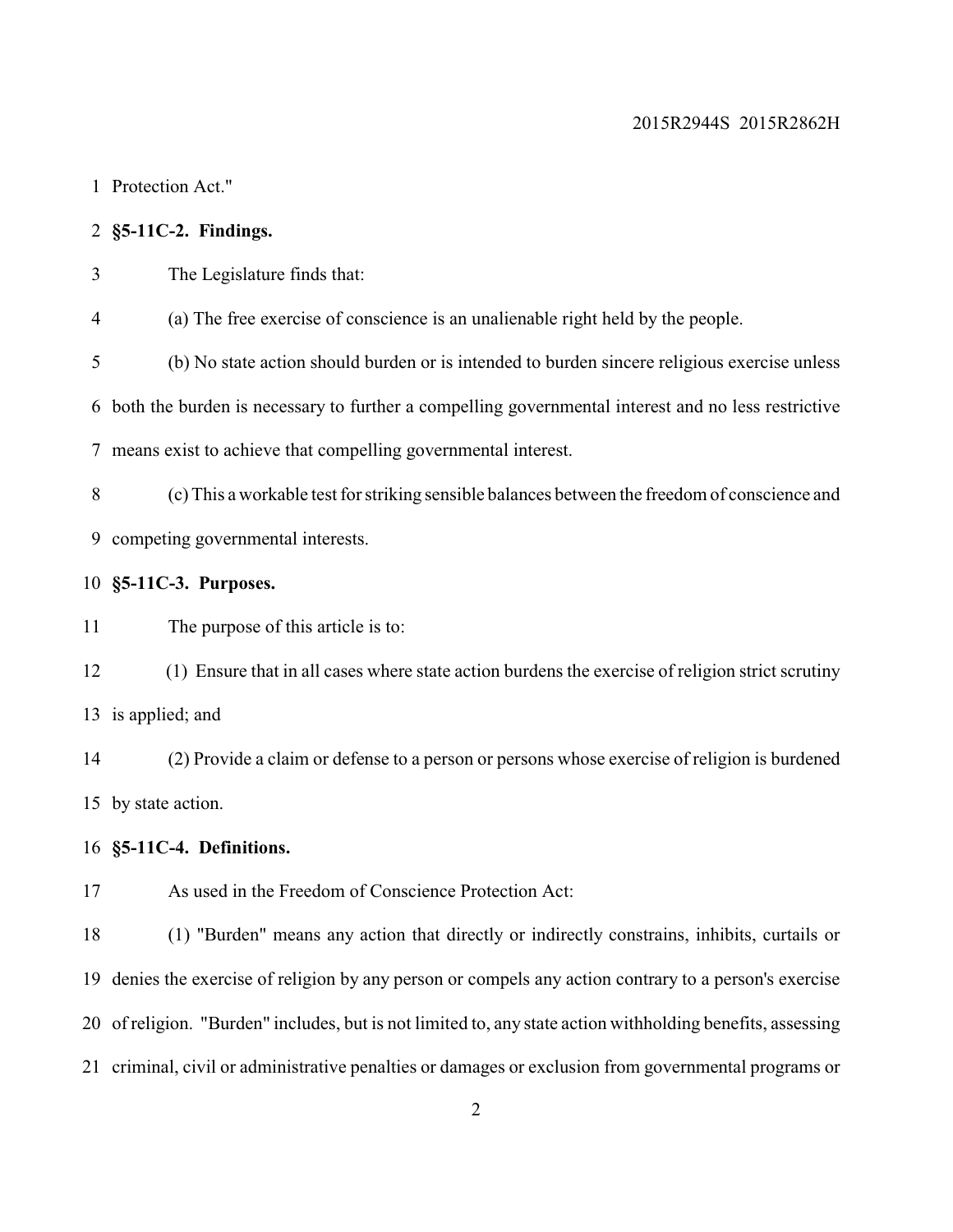Protection Act."

# **§5-11C-2. Findings.**

The Legislature finds that:

(a) The free exercise of conscience is an unalienable right held by the people.

 (b) No state action should burden or is intended to burden sincere religious exercise unless both the burden is necessary to further a compelling governmental interest and no less restrictive

means exist to achieve that compelling governmental interest.

 (c)This a workable test for striking sensible balances between the freedom of conscience and competing governmental interests.

### **§5-11C-3. Purposes.**

The purpose of this article is to:

 (1) Ensure that in all cases where state action burdens the exercise of religion strict scrutiny is applied; and

 (2) Provide a claim or defense to a person or persons whose exercise of religion is burdened by state action.

## **§5-11C-4. Definitions.**

As used in the Freedom of Conscience Protection Act:

 (1) "Burden" means any action that directly or indirectly constrains, inhibits, curtails or denies the exercise of religion by any person or compels any action contrary to a person's exercise of religion. "Burden" includes, but is not limited to, any state action withholding benefits, assessing criminal, civil or administrative penalties or damages or exclusion from governmental programs or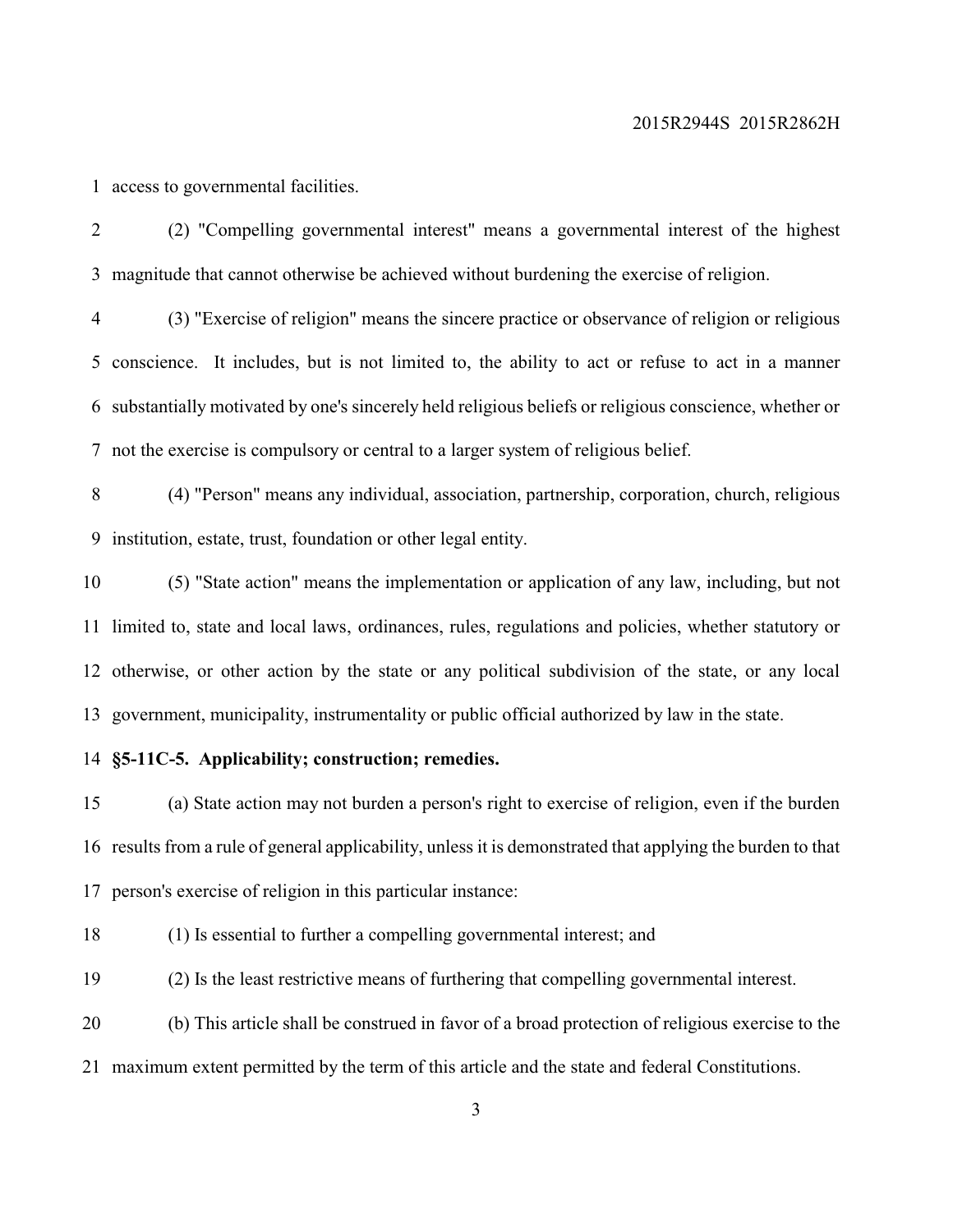access to governmental facilities.

 (2) "Compelling governmental interest" means a governmental interest of the highest magnitude that cannot otherwise be achieved without burdening the exercise of religion.

 (3) "Exercise of religion" means the sincere practice or observance of religion or religious conscience. It includes, but is not limited to, the ability to act or refuse to act in a manner substantially motivated by one's sincerely held religious beliefs or religious conscience, whether or not the exercise is compulsory or central to a larger system of religious belief.

 (4) "Person" means any individual, association, partnership, corporation, church, religious institution, estate, trust, foundation or other legal entity.

 (5) "State action" means the implementation or application of any law, including, but not limited to, state and local laws, ordinances, rules, regulations and policies, whether statutory or otherwise, or other action by the state or any political subdivision of the state, or any local government, municipality, instrumentality or public official authorized by law in the state.

### **§5-11C-5. Applicability; construction; remedies.**

 (a) State action may not burden a person's right to exercise of religion, even if the burden results from a rule of general applicability, unless it is demonstrated that applying the burden to that person's exercise of religion in this particular instance:

(1) Is essential to further a compelling governmental interest; and

(2) Is the least restrictive means of furthering that compelling governmental interest.

 (b) This article shall be construed in favor of a broad protection of religious exercise to the maximum extent permitted by the term of this article and the state and federal Constitutions.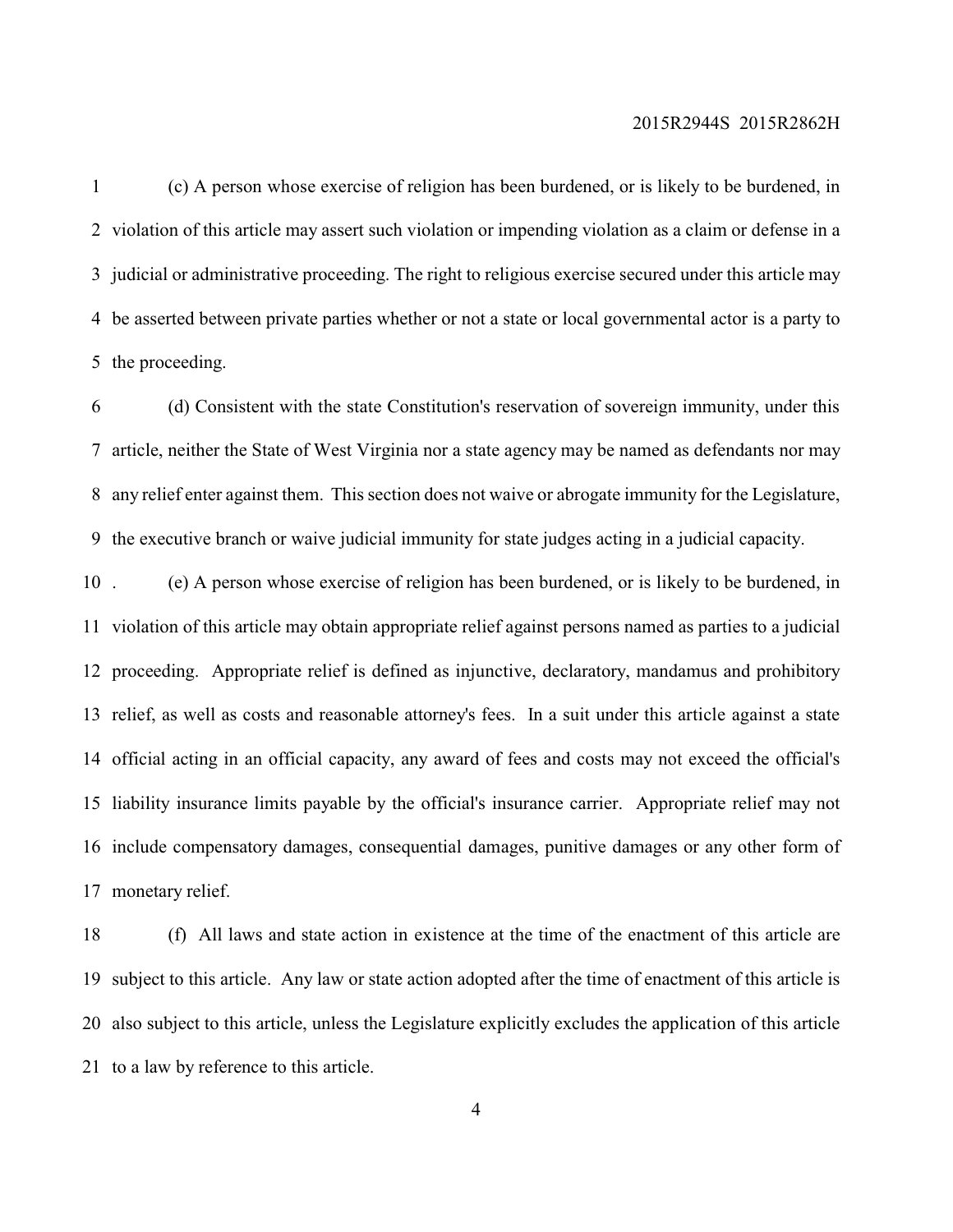(c) A person whose exercise of religion has been burdened, or is likely to be burdened, in violation of this article may assert such violation or impending violation as a claim or defense in a judicial or administrative proceeding. The right to religious exercise secured under this article may be asserted between private parties whether or not a state or local governmental actor is a party to the proceeding.

 (d) Consistent with the state Constitution's reservation of sovereign immunity, under this article, neither the State of West Virginia nor a state agency may be named as defendants nor may any relief enter against them. This section does not waive or abrogate immunity for the Legislature, the executive branch or waive judicial immunity for state judges acting in a judicial capacity.

 . (e) A person whose exercise of religion has been burdened, or is likely to be burdened, in violation of this article may obtain appropriate relief against persons named as parties to a judicial proceeding. Appropriate relief is defined as injunctive, declaratory, mandamus and prohibitory relief, as well as costs and reasonable attorney's fees. In a suit under this article against a state official acting in an official capacity, any award of fees and costs may not exceed the official's liability insurance limits payable by the official's insurance carrier. Appropriate relief may not include compensatory damages, consequential damages, punitive damages or any other form of monetary relief.

 (f) All laws and state action in existence at the time of the enactment of this article are subject to this article. Any law or state action adopted after the time of enactment of this article is also subject to this article, unless the Legislature explicitly excludes the application of this article to a law by reference to this article.